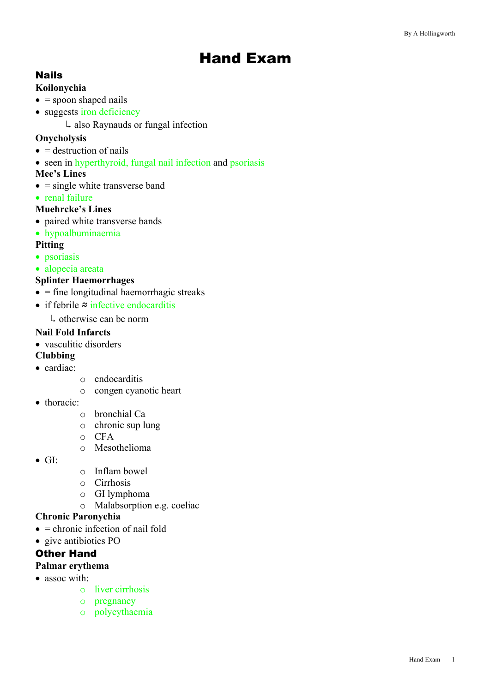# Hand Exam

# Nails

#### **Koilonychia**

- $\bullet$  = spoon shaped nails
- suggests iron deficiency
	- $\downarrow$  also Raynauds or fungal infection

# **Onycholysis**

- $\bullet$  = destruction of nails
- seen in hyperthyroid, fungal nail infection and psoriasis

# **Mee's Lines**

- $\bullet$  = single white transverse band
- renal failure

# **Muehrcke's Lines**

- paired white transverse bands
- hypoalbuminaemia

#### **Pitting**

- psoriasis
- alopecia areata

# **Splinter Haemorrhages**

- $\bullet$  = fine longitudinal haemorrhagic streaks
- if febrile ≈ infective endocarditis
	- $\downarrow$  otherwise can be norm

# **Nail Fold Infarcts**

• vasculitic disorders

# **Clubbing**

- cardiac:
- o endocarditis
- o congen cyanotic heart
- thoracic:
	- o bronchial Ca
	- o chronic sup lung
	- o CFA
	- o Mesothelioma
- $\bullet$  GI:
- o Inflam bowel
- o Cirrhosis
- o GI lymphoma
- o Malabsorption e.g. coeliac

#### **Chronic Paronychia**

- $\bullet$  = chronic infection of nail fold
- give antibiotics PO

# Other Hand

#### **Palmar erythema**

- assoc with:
	- o liver cirrhosis
	- o pregnancy
	- o polycythaemia